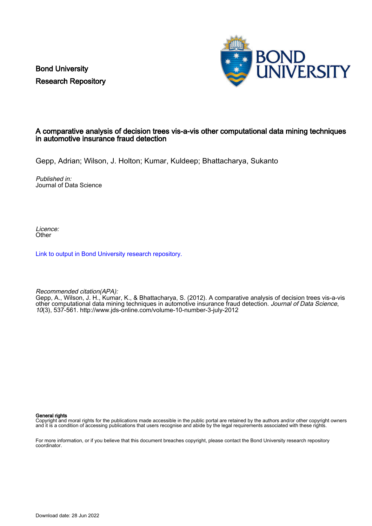Bond University Research Repository



# A comparative analysis of decision trees vis-a-vis other computational data mining techniques in automotive insurance fraud detection

Gepp, Adrian; Wilson, J. Holton; Kumar, Kuldeep; Bhattacharya, Sukanto

Published in: Journal of Data Science

Licence: **Other** 

[Link to output in Bond University research repository.](https://research.bond.edu.au/en/publications/c107eb80-1208-49df-a411-2e6f4d3420f4)

Recommended citation(APA):

Gepp, A., Wilson, J. H., Kumar, K., & Bhattacharya, S. (2012). A comparative analysis of decision trees vis-a-vis other computational data mining techniques in automotive insurance fraud detection. Journal of Data Science, 10(3), 537-561.<http://www.jds-online.com/volume-10-number-3-july-2012>

General rights

Copyright and moral rights for the publications made accessible in the public portal are retained by the authors and/or other copyright owners and it is a condition of accessing publications that users recognise and abide by the legal requirements associated with these rights.

For more information, or if you believe that this document breaches copyright, please contact the Bond University research repository coordinator.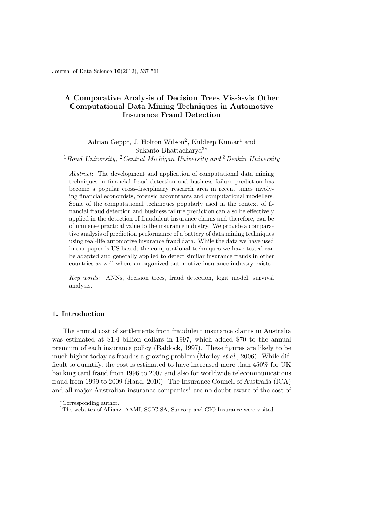Journal of Data Science 10(2012), 537-561

# A Comparative Analysis of Decision Trees Vis-à-vis Other Computational Data Mining Techniques in Automotive Insurance Fraud Detection

Adrian Gepp<sup>1</sup>, J. Holton Wilson<sup>2</sup>, Kuldeep Kumar<sup>1</sup> and Sukanto Bhattacharya3<sup>∗</sup>

 $1$ Bond University,  $2$ Central Michigan University and  $3$ Deakin University

Abstract: The development and application of computational data mining techniques in financial fraud detection and business failure prediction has become a popular cross-disciplinary research area in recent times involving financial economists, forensic accountants and computational modellers. Some of the computational techniques popularly used in the context of financial fraud detection and business failure prediction can also be effectively applied in the detection of fraudulent insurance claims and therefore, can be of immense practical value to the insurance industry. We provide a comparative analysis of prediction performance of a battery of data mining techniques using real-life automotive insurance fraud data. While the data we have used in our paper is US-based, the computational techniques we have tested can be adapted and generally applied to detect similar insurance frauds in other countries as well where an organized automotive insurance industry exists.

Key words: ANNs, decision trees, fraud detection, logit model, survival analysis.

## 1. Introduction

The annual cost of settlements from fraudulent insurance claims in Australia was estimated at \$1.4 billion dollars in 1997, which added \$70 to the annual premium of each insurance policy (Baldock, 1997). These figures are likely to be much higher today as fraud is a growing problem (Morley et al., 2006). While difficult to quantify, the cost is estimated to have increased more than 450% for UK banking card fraud from 1996 to 2007 and also for worldwide telecommunications fraud from 1999 to 2009 (Hand, 2010). The Insurance Council of Australia (ICA) and all major Australian insurance companies<sup>1</sup> are no doubt aware of the cost of

<sup>∗</sup>Corresponding author.

<sup>&</sup>lt;sup>1</sup>The websites of Allianz, AAMI, SGIC SA, Suncorp and GIO Insurance were visited.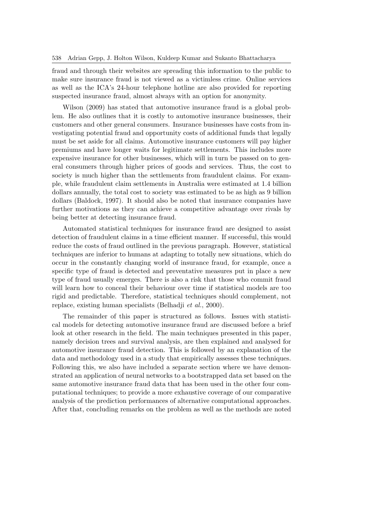fraud and through their websites are spreading this information to the public to make sure insurance fraud is not viewed as a victimless crime. Online services as well as the ICA's 24-hour telephone hotline are also provided for reporting suspected insurance fraud, almost always with an option for anonymity.

Wilson (2009) has stated that automotive insurance fraud is a global problem. He also outlines that it is costly to automotive insurance businesses, their customers and other general consumers. Insurance businesses have costs from investigating potential fraud and opportunity costs of additional funds that legally must be set aside for all claims. Automotive insurance customers will pay higher premiums and have longer waits for legitimate settlements. This includes more expensive insurance for other businesses, which will in turn be passed on to general consumers through higher prices of goods and services. Thus, the cost to society is much higher than the settlements from fraudulent claims. For example, while fraudulent claim settlements in Australia were estimated at 1.4 billion dollars annually, the total cost to society was estimated to be as high as 9 billion dollars (Baldock, 1997). It should also be noted that insurance companies have further motivations as they can achieve a competitive advantage over rivals by being better at detecting insurance fraud.

Automated statistical techniques for insurance fraud are designed to assist detection of fraudulent claims in a time efficient manner. If successful, this would reduce the costs of fraud outlined in the previous paragraph. However, statistical techniques are inferior to humans at adapting to totally new situations, which do occur in the constantly changing world of insurance fraud, for example, once a specific type of fraud is detected and preventative measures put in place a new type of fraud usually emerges. There is also a risk that those who commit fraud will learn how to conceal their behaviour over time if statistical models are too rigid and predictable. Therefore, statistical techniques should complement, not replace, existing human specialists (Belhadii *et al.*, 2000).

The remainder of this paper is structured as follows. Issues with statistical models for detecting automotive insurance fraud are discussed before a brief look at other research in the field. The main techniques presented in this paper, namely decision trees and survival analysis, are then explained and analysed for automotive insurance fraud detection. This is followed by an explanation of the data and methodology used in a study that empirically assesses these techniques. Following this, we also have included a separate section where we have demonstrated an application of neural networks to a bootstrapped data set based on the same automotive insurance fraud data that has been used in the other four computational techniques; to provide a more exhaustive coverage of our comparative analysis of the prediction performances of alternative computational approaches. After that, concluding remarks on the problem as well as the methods are noted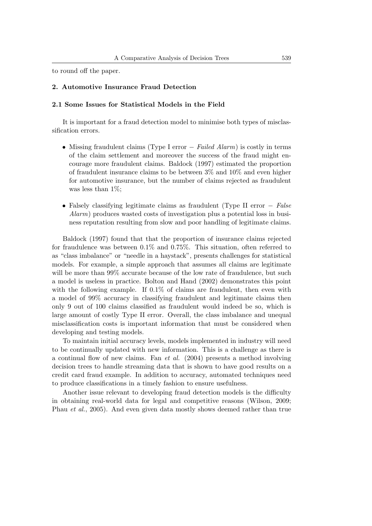to round off the paper.

### 2. Automotive Insurance Fraud Detection

#### 2.1 Some Issues for Statistical Models in the Field

It is important for a fraud detection model to minimise both types of misclassification errors.

- Missing fraudulent claims (Type I error − Failed Alarm) is costly in terms of the claim settlement and moreover the success of the fraud might encourage more fraudulent claims. Baldock (1997) estimated the proportion of fraudulent insurance claims to be between 3% and 10% and even higher for automotive insurance, but the number of claims rejected as fraudulent was less than  $1\%$ ;
- Falsely classifying legitimate claims as fraudulent (Type II error − False Alarm) produces wasted costs of investigation plus a potential loss in business reputation resulting from slow and poor handling of legitimate claims.

Baldock (1997) found that that the proportion of insurance claims rejected for fraudulence was between 0.1% and 0.75%. This situation, often referred to as "class imbalance" or "needle in a haystack", presents challenges for statistical models. For example, a simple approach that assumes all claims are legitimate will be more than 99% accurate because of the low rate of fraudulence, but such a model is useless in practice. Bolton and Hand (2002) demonstrates this point with the following example. If 0.1% of claims are fraudulent, then even with a model of 99% accuracy in classifying fraudulent and legitimate claims then only 9 out of 100 claims classified as fraudulent would indeed be so, which is large amount of costly Type II error. Overall, the class imbalance and unequal misclassification costs is important information that must be considered when developing and testing models.

To maintain initial accuracy levels, models implemented in industry will need to be continually updated with new information. This is a challenge as there is a continual flow of new claims. Fan et al. (2004) presents a method involving decision trees to handle streaming data that is shown to have good results on a credit card fraud example. In addition to accuracy, automated techniques need to produce classifications in a timely fashion to ensure usefulness.

Another issue relevant to developing fraud detection models is the difficulty in obtaining real-world data for legal and competitive reasons (Wilson, 2009; Phau *et al.*, 2005). And even given data mostly shows deemed rather than true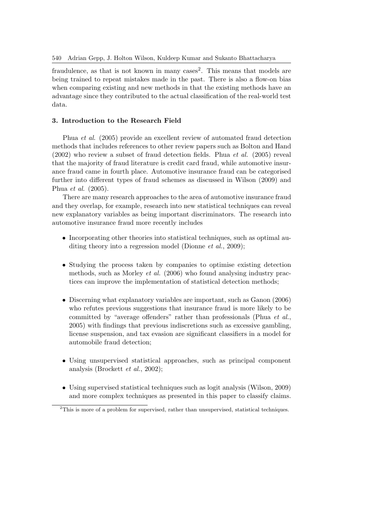fraudulence, as that is not known in many cases<sup>2</sup>. This means that models are being trained to repeat mistakes made in the past. There is also a flow-on bias when comparing existing and new methods in that the existing methods have an advantage since they contributed to the actual classification of the real-world test data.

### 3. Introduction to the Research Field

Phua et al. (2005) provide an excellent review of automated fraud detection methods that includes references to other review papers such as Bolton and Hand  $(2002)$  who review a subset of fraud detection fields. Phua *et al.*  $(2005)$  reveal that the majority of fraud literature is credit card fraud, while automotive insurance fraud came in fourth place. Automotive insurance fraud can be categorised further into different types of fraud schemes as discussed in Wilson (2009) and Phua et al. (2005).

There are many research approaches to the area of automotive insurance fraud and they overlap, for example, research into new statistical techniques can reveal new explanatory variables as being important discriminators. The research into automotive insurance fraud more recently includes

- Incorporating other theories into statistical techniques, such as optimal auditing theory into a regression model (Dionne *et al.*, 2009);
- Studying the process taken by companies to optimise existing detection methods, such as Morley et al. (2006) who found analysing industry practices can improve the implementation of statistical detection methods;
- Discerning what explanatory variables are important, such as Ganon (2006) who refutes previous suggestions that insurance fraud is more likely to be committed by "average offenders" rather than professionals (Phua et al., 2005) with findings that previous indiscretions such as excessive gambling, license suspension, and tax evasion are significant classifiers in a model for automobile fraud detection;
- Using unsupervised statistical approaches, such as principal component analysis (Brockett et al., 2002);
- Using supervised statistical techniques such as logit analysis (Wilson, 2009) and more complex techniques as presented in this paper to classify claims.

<sup>&</sup>lt;sup>2</sup>This is more of a problem for supervised, rather than unsupervised, statistical techniques.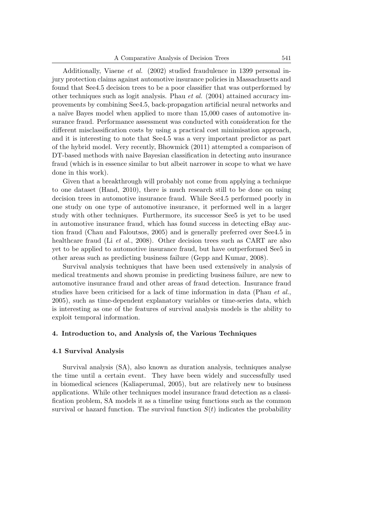Additionally, Viaene et al. (2002) studied fraudulence in 1399 personal injury protection claims against automotive insurance policies in Massachusetts and found that See4.5 decision trees to be a poor classifier that was outperformed by other techniques such as logit analysis. Phau *et al.* (2004) attained accuracy improvements by combining See4.5, back-propagation artificial neural networks and a naïve Bayes model when applied to more than 15,000 cases of automotive insurance fraud. Performance assessment was conducted with consideration for the different misclassification costs by using a practical cost minimisation approach, and it is interesting to note that See4.5 was a very important predictor as part of the hybrid model. Very recently, Bhowmick (2011) attempted a comparison of DT-based methods with naive Bayesian classification in detecting auto insurance fraud (which is in essence similar to but albeit narrower in scope to what we have done in this work).

Given that a breakthrough will probably not come from applying a technique to one dataset (Hand, 2010), there is much research still to be done on using decision trees in automotive insurance fraud. While See4.5 performed poorly in one study on one type of automotive insurance, it performed well in a larger study with other techniques. Furthermore, its successor See5 is yet to be used in automotive insurance fraud, which has found success in detecting eBay auction fraud (Chau and Faloutsos, 2005) and is generally preferred over See4.5 in healthcare fraud (Li et al., 2008). Other decision trees such as CART are also yet to be applied to automotive insurance fraud, but have outperformed See5 in other areas such as predicting business failure (Gepp and Kumar, 2008).

Survival analysis techniques that have been used extensively in analysis of medical treatments and shown promise in predicting business failure, are new to automotive insurance fraud and other areas of fraud detection. Insurance fraud studies have been criticised for a lack of time information in data (Phau *et al.*, 2005), such as time-dependent explanatory variables or time-series data, which is interesting as one of the features of survival analysis models is the ability to exploit temporal information.

### 4. Introduction to, and Analysis of, the Various Techniques

## 4.1 Survival Analysis

Survival analysis (SA), also known as duration analysis, techniques analyse the time until a certain event. They have been widely and successfully used in biomedical sciences (Kaliaperumal, 2005), but are relatively new to business applications. While other techniques model insurance fraud detection as a classification problem, SA models it as a timeline using functions such as the common survival or hazard function. The survival function  $S(t)$  indicates the probability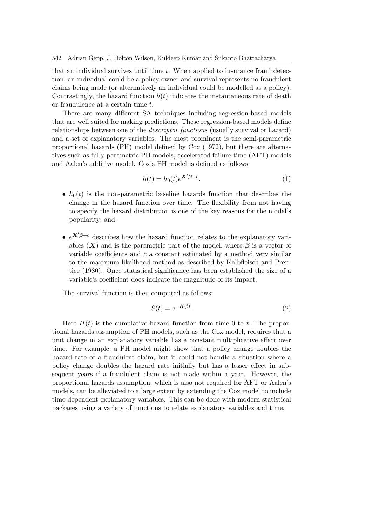that an individual survives until time  $t$ . When applied to insurance fraud detection, an individual could be a policy owner and survival represents no fraudulent claims being made (or alternatively an individual could be modelled as a policy). Contrastingly, the hazard function  $h(t)$  indicates the instantaneous rate of death or fraudulence at a certain time t.

There are many different SA techniques including regression-based models that are well suited for making predictions. These regression-based models define relationships between one of the *descriptor functions* (usually survival or hazard) and a set of explanatory variables. The most prominent is the semi-parametric proportional hazards (PH) model defined by Cox (1972), but there are alternatives such as fully-parametric PH models, accelerated failure time (AFT) models and Aalen's additive model. Cox's PH model is defined as follows:

$$
h(t) = h_0(t)e^{\mathbf{X}'\beta + c}.\tag{1}
$$

- $h_0(t)$  is the non-parametric baseline hazards function that describes the change in the hazard function over time. The flexibility from not having to specify the hazard distribution is one of the key reasons for the model's popularity; and,
- $e^{X/\beta+c}$  describes how the hazard function relates to the explanatory variables  $(X)$  and is the parametric part of the model, where  $\beta$  is a vector of variable coefficients and  $c$  a constant estimated by a method very similar to the maximum likelihood method as described by Kalbfleisch and Prentice (1980). Once statistical significance has been established the size of a variable's coefficient does indicate the magnitude of its impact.

The survival function is then computed as follows:

$$
S(t) = e^{-H(t)}.\tag{2}
$$

Here  $H(t)$  is the cumulative hazard function from time 0 to t. The proportional hazards assumption of PH models, such as the Cox model, requires that a unit change in an explanatory variable has a constant multiplicative effect over time. For example, a PH model might show that a policy change doubles the hazard rate of a fraudulent claim, but it could not handle a situation where a policy change doubles the hazard rate initially but has a lesser effect in subsequent years if a fraudulent claim is not made within a year. However, the proportional hazards assumption, which is also not required for AFT or Aalen's models, can be alleviated to a large extent by extending the Cox model to include time-dependent explanatory variables. This can be done with modern statistical packages using a variety of functions to relate explanatory variables and time.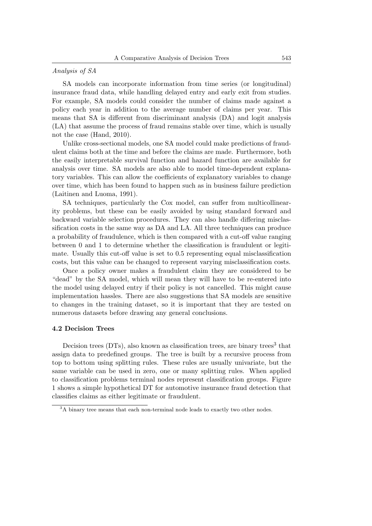## Analysis of SA

SA models can incorporate information from time series (or longitudinal) insurance fraud data, while handling delayed entry and early exit from studies. For example, SA models could consider the number of claims made against a policy each year in addition to the average number of claims per year. This means that SA is different from discriminant analysis (DA) and logit analysis (LA) that assume the process of fraud remains stable over time, which is usually not the case (Hand, 2010).

Unlike cross-sectional models, one SA model could make predictions of fraudulent claims both at the time and before the claims are made. Furthermore, both the easily interpretable survival function and hazard function are available for analysis over time. SA models are also able to model time-dependent explanatory variables. This can allow the coefficients of explanatory variables to change over time, which has been found to happen such as in business failure prediction (Laitinen and Luoma, 1991).

SA techniques, particularly the Cox model, can suffer from multicollinearity problems, but these can be easily avoided by using standard forward and backward variable selection procedures. They can also handle differing misclassification costs in the same way as DA and LA. All three techniques can produce a probability of fraudulence, which is then compared with a cut-off value ranging between 0 and 1 to determine whether the classification is fraudulent or legitimate. Usually this cut-off value is set to 0.5 representing equal misclassification costs, but this value can be changed to represent varying misclassification costs.

Once a policy owner makes a fraudulent claim they are considered to be "dead" by the SA model, which will mean they will have to be re-entered into the model using delayed entry if their policy is not cancelled. This might cause implementation hassles. There are also suggestions that SA models are sensitive to changes in the training dataset, so it is important that they are tested on numerous datasets before drawing any general conclusions.

#### 4.2 Decision Trees

Decision trees (DTs), also known as classification trees, are binary trees<sup>3</sup> that assign data to predefined groups. The tree is built by a recursive process from top to bottom using splitting rules. These rules are usually univariate, but the same variable can be used in zero, one or many splitting rules. When applied to classification problems terminal nodes represent classification groups. Figure 1 shows a simple hypothetical DT for automotive insurance fraud detection that classifies claims as either legitimate or fraudulent.

<sup>&</sup>lt;sup>3</sup>A binary tree means that each non-terminal node leads to exactly two other nodes.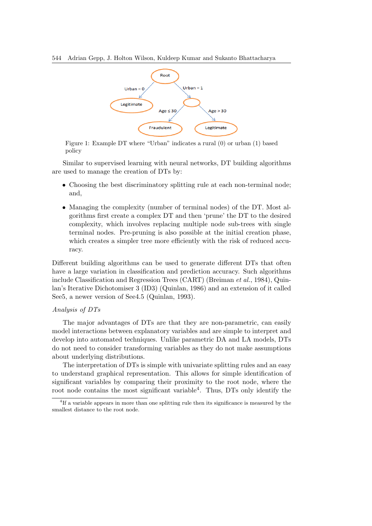

Figure 1: Example DT where "Urban" indicates a rural (0) or urban (1) based policy

Similar to supervised learning with neural networks, DT building algorithms are used to manage the creation of DTs by:

- Choosing the best discriminatory splitting rule at each non-terminal node; and,
- Managing the complexity (number of terminal nodes) of the DT. Most algorithms first create a complex DT and then 'prune' the DT to the desired complexity, which involves replacing multiple node sub-trees with single terminal nodes. Pre-pruning is also possible at the initial creation phase, which creates a simpler tree more efficiently with the risk of reduced accuracy.

Different building algorithms can be used to generate different DTs that often have a large variation in classification and prediction accuracy. Such algorithms include Classification and Regression Trees (CART) (Breiman et al., 1984), Quinlan's Iterative Dichotomiser 3 (ID3) (Quinlan, 1986) and an extension of it called See5, a newer version of See4.5 (Quinlan, 1993).

#### Analysis of DTs

The major advantages of DTs are that they are non-parametric, can easily model interactions between explanatory variables and are simple to interpret and develop into automated techniques. Unlike parametric DA and LA models, DTs do not need to consider transforming variables as they do not make assumptions about underlying distributions.

The interpretation of DTs is simple with univariate splitting rules and an easy to understand graphical representation. This allows for simple identification of significant variables by comparing their proximity to the root node, where the root node contains the most significant variable<sup>4</sup>. Thus, DTs only identify the

<sup>&</sup>lt;sup>4</sup>If a variable appears in more than one splitting rule then its significance is measured by the smallest distance to the root node.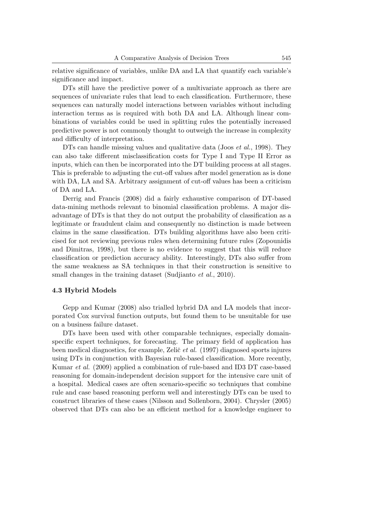relative significance of variables, unlike DA and LA that quantify each variable's significance and impact.

DTs still have the predictive power of a multivariate approach as there are sequences of univariate rules that lead to each classification. Furthermore, these sequences can naturally model interactions between variables without including interaction terms as is required with both DA and LA. Although linear combinations of variables could be used in splitting rules the potentially increased predictive power is not commonly thought to outweigh the increase in complexity and difficulty of interpretation.

DTs can handle missing values and qualitative data (Joos *et al.*, 1998). They can also take different misclassification costs for Type I and Type II Error as inputs, which can then be incorporated into the DT building process at all stages. This is preferable to adjusting the cut-off values after model generation as is done with DA, LA and SA. Arbitrary assignment of cut-off values has been a criticism of DA and LA.

Derrig and Francis (2008) did a fairly exhaustive comparison of DT-based data-mining methods relevant to binomial classification problems. A major disadvantage of DTs is that they do not output the probability of classification as a legitimate or fraudulent claim and consequently no distinction is made between claims in the same classification. DTs building algorithms have also been criticised for not reviewing previous rules when determining future rules (Zopounidis and Dimitras, 1998), but there is no evidence to suggest that this will reduce classification or prediction accuracy ability. Interestingly, DTs also suffer from the same weakness as SA techniques in that their construction is sensitive to small changes in the training dataset (Sudjianto *et al.*, 2010).

#### 4.3 Hybrid Models

Gepp and Kumar (2008) also trialled hybrid DA and LA models that incorporated Cox survival function outputs, but found them to be unsuitable for use on a business failure dataset.

DTs have been used with other comparable techniques, especially domainspecific expert techniques, for forecasting. The primary field of application has been medical diagnostics, for example, Zelič *et al.* (1997) diagnosed sports injures using DTs in conjunction with Bayesian rule-based classification. More recently, Kumar et al. (2009) applied a combination of rule-based and ID3 DT case-based reasoning for domain-independent decision support for the intensive care unit of a hospital. Medical cases are often scenario-specific so techniques that combine rule and case based reasoning perform well and interestingly DTs can be used to construct libraries of these cases (Nilsson and Sollenborn, 2004). Chrysler (2005) observed that DTs can also be an efficient method for a knowledge engineer to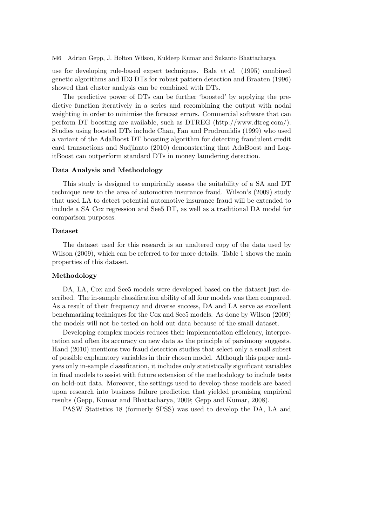use for developing rule-based expert techniques. Bala et al. (1995) combined genetic algorithms and ID3 DTs for robust pattern detection and Braaten (1996) showed that cluster analysis can be combined with DTs.

The predictive power of DTs can be further 'boosted' by applying the predictive function iteratively in a series and recombining the output with nodal weighting in order to minimise the forecast errors. Commercial software that can perform DT boosting are available, such as DTREG (http://www.dtreg.com/). Studies using boosted DTs include Chan, Fan and Prodromidis (1999) who used a variant of the AdaBoost DT boosting algorithm for detecting fraudulent credit card transactions and Sudjianto (2010) demonstrating that AdaBoost and LogitBoost can outperform standard DTs in money laundering detection.

#### Data Analysis and Methodology

This study is designed to empirically assess the suitability of a SA and DT technique new to the area of automotive insurance fraud. Wilson's (2009) study that used LA to detect potential automotive insurance fraud will be extended to include a SA Cox regression and See5 DT, as well as a traditional DA model for comparison purposes.

### Dataset

The dataset used for this research is an unaltered copy of the data used by Wilson (2009), which can be referred to for more details. Table 1 shows the main properties of this dataset.

#### Methodology

DA, LA, Cox and See5 models were developed based on the dataset just described. The in-sample classification ability of all four models was then compared. As a result of their frequency and diverse success, DA and LA serve as excellent benchmarking techniques for the Cox and See5 models. As done by Wilson (2009) the models will not be tested on hold out data because of the small dataset.

Developing complex models reduces their implementation efficiency, interpretation and often its accuracy on new data as the principle of parsimony suggests. Hand (2010) mentions two fraud detection studies that select only a small subset of possible explanatory variables in their chosen model. Although this paper analyses only in-sample classification, it includes only statistically significant variables in final models to assist with future extension of the methodology to include tests on hold-out data. Moreover, the settings used to develop these models are based upon research into business failure prediction that yielded promising empirical results (Gepp, Kumar and Bhattacharya, 2009; Gepp and Kumar, 2008).

PASW Statistics 18 (formerly SPSS) was used to develop the DA, LA and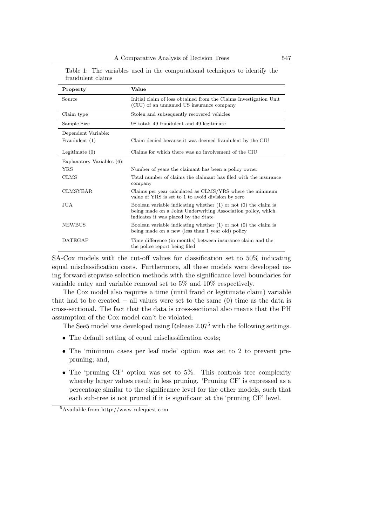| Property                   | Value                                                                                                                                                                       |
|----------------------------|-----------------------------------------------------------------------------------------------------------------------------------------------------------------------------|
| Source                     | Initial claim of loss obtained from the Claims Investigation Unit<br>(CIU) of an unnamed US insurance company                                                               |
| Claim type                 | Stolen and subsequently recovered vehicles                                                                                                                                  |
| Sample Size                | 98 total: 49 fraudulent and 49 legitimate                                                                                                                                   |
| Dependent Variable:        |                                                                                                                                                                             |
| Fraudulent (1)             | Claim denied because it was deemed fraudulent by the CIU                                                                                                                    |
| Legitimate $(0)$           | Claims for which there was no involvement of the CIU                                                                                                                        |
| Explanatory Variables (6): |                                                                                                                                                                             |
| YRS                        | Number of years the claimant has been a policy owner                                                                                                                        |
| <b>CLMS</b>                | Total number of claims the claimant has filed with the insurance<br>company                                                                                                 |
| <b>CLMSYEAR</b>            | Claims per year calculated as CLMS/YRS where the minimum<br>value of YRS is set to 1 to avoid division by zero                                                              |
| JUA                        | Boolean variable indicating whether $(1)$ or not $(0)$ the claim is<br>being made on a Joint Underwriting Association policy, which<br>indicates it was placed by the State |
| <b>NEWBUS</b>              | Boolean variable indicating whether $(1)$ or not $(0)$ the claim is<br>being made on a new (less than 1 year old) policy                                                    |
| <b>DATEGAP</b>             | Time difference (in months) between insurance claim and the<br>the police report being filed                                                                                |

Table 1: The variables used in the computational techniques to identify the fraudulent claims

SA-Cox models with the cut-off values for classification set to 50% indicating equal misclassification costs. Furthermore, all these models were developed using forward stepwise selection methods with the significance level boundaries for variable entry and variable removal set to 5% and 10% respectively.

The Cox model also requires a time (until fraud or legitimate claim) variable that had to be created  $-$  all values were set to the same  $(0)$  time as the data is cross-sectional. The fact that the data is cross-sectional also means that the PH assumption of the Cox model can't be violated.

The See5 model was developed using Release  $2.07<sup>5</sup>$  with the following settings.

- The default setting of equal misclassification costs;
- The 'minimum cases per leaf node' option was set to 2 to prevent prepruning; and,
- The 'pruning CF' option was set to 5%. This controls tree complexity whereby larger values result in less pruning. 'Pruning CF' is expressed as a percentage similar to the significance level for the other models, such that each sub-tree is not pruned if it is significant at the 'pruning CF' level.

<sup>5</sup>Available from http://www.rulequest.com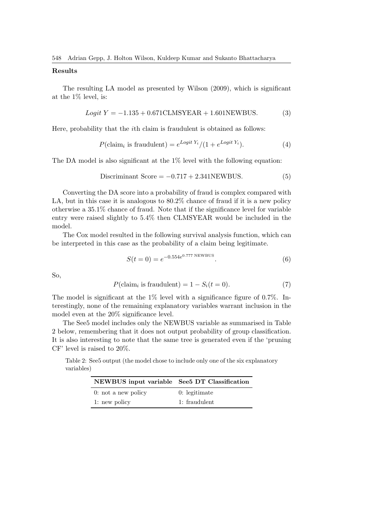### Results

The resulting LA model as presented by Wilson (2009), which is significant at the 1% level, is:

$$
Logit Y = -1.135 + 0.671CLMSYEAR + 1.601NEWBUS.
$$
 (3)

Here, probability that the ith claim is fraudulent is obtained as follows:

$$
P(\text{claim}_i \text{ is } \text{fraudulent}) = e^{Logit Y_i} / (1 + e^{Logit Y_i}). \tag{4}
$$

The DA model is also significant at the  $1\%$  level with the following equation:

$$
Discriminant Score = -0.717 + 2.341NEWBUS.
$$
\n(5)

Converting the DA score into a probability of fraud is complex compared with LA, but in this case it is analogous to 80.2% chance of fraud if it is a new policy otherwise a 35.1% chance of fraud. Note that if the significance level for variable entry were raised slightly to 5.4% then CLMSYEAR would be included in the model.

The Cox model resulted in the following survival analysis function, which can be interpreted in this case as the probability of a claim being legitimate.

$$
S(t=0) = e^{-0.554e^{0.777 \text{ NEWBUS}}}}.\t(6)
$$

So,

$$
P(\text{claim}_i \text{ is } \text{fraudulent}) = 1 - S_i(t = 0). \tag{7}
$$

The model is significant at the  $1\%$  level with a significance figure of 0.7%. Interestingly, none of the remaining explanatory variables warrant inclusion in the model even at the 20% significance level.

The See5 model includes only the NEWBUS variable as summarised in Table 2 below, remembering that it does not output probability of group classification. It is also interesting to note that the same tree is generated even if the 'pruning CF' level is raised to 20%.

Table 2: See5 output (the model chose to include only one of the six explanatory variables)

| NEWBUS input variable See 5DT Classification |               |
|----------------------------------------------|---------------|
| $0:$ not a new policy                        | 0: legitimate |
| 1: new policy                                | 1: fraudulent |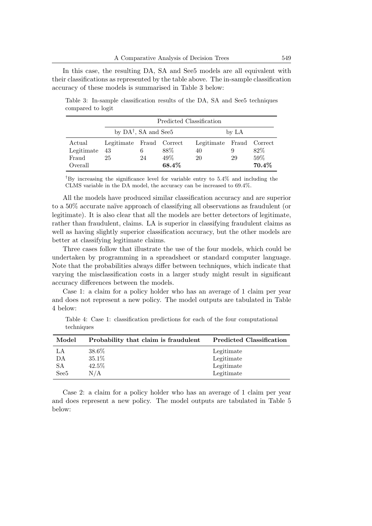In this case, the resulting DA, SA and See5 models are all equivalent with their classifications as represented by the table above. The in-sample classification accuracy of these models is summarised in Table 3 below:

Table 3: In-sample classification results of the DA, SA and See5 techniques compared to logit

|            | Predicted Classification                  |                                                      |      |    |   |        |  |  |
|------------|-------------------------------------------|------------------------------------------------------|------|----|---|--------|--|--|
|            | by $DA^{\dagger}$ , SA and See 5<br>by LA |                                                      |      |    |   |        |  |  |
| Actual     |                                           | Legitimate Fraud Correct<br>Legitimate Fraud Correct |      |    |   |        |  |  |
| Legitimate | 43                                        | 6                                                    | 88\% | 40 | 9 | 82\%   |  |  |
| Fraud      | $49\%$<br>25<br>29<br>24<br>20            |                                                      |      |    |   | $59\%$ |  |  |
| Overall    | $70.4\%$<br>68.4%                         |                                                      |      |    |   |        |  |  |

<sup>†</sup>By increasing the significance level for variable entry to  $5.4\%$  and including the CLMS variable in the DA model, the accuracy can be increased to 69.4%.

All the models have produced similar classification accuracy and are superior to a 50% accurate naïve approach of classifying all observations as fraudulent (or legitimate). It is also clear that all the models are better detectors of legitimate, rather than fraudulent, claims. LA is superior in classifying fraudulent claims as well as having slightly superior classification accuracy, but the other models are better at classifying legitimate claims.

Three cases follow that illustrate the use of the four models, which could be undertaken by programming in a spreadsheet or standard computer language. Note that the probabilities always differ between techniques, which indicate that varying the misclassification costs in a larger study might result in significant accuracy differences between the models.

Case 1: a claim for a policy holder who has an average of 1 claim per year and does not represent a new policy. The model outputs are tabulated in Table 4 below:

Table 4: Case 1: classification predictions for each of the four computational techniques

| Model            | Probability that claim is fraudulent | <b>Predicted Classification</b> |
|------------------|--------------------------------------|---------------------------------|
| LA               | 38.6%                                | Legitimate                      |
| DA               | 35.1%                                | Legitimate                      |
| SА               | 42.5%                                | Legitimate                      |
| See <sub>5</sub> | N/A                                  | Legitimate                      |

Case 2: a claim for a policy holder who has an average of 1 claim per year and does represent a new policy. The model outputs are tabulated in Table 5 below: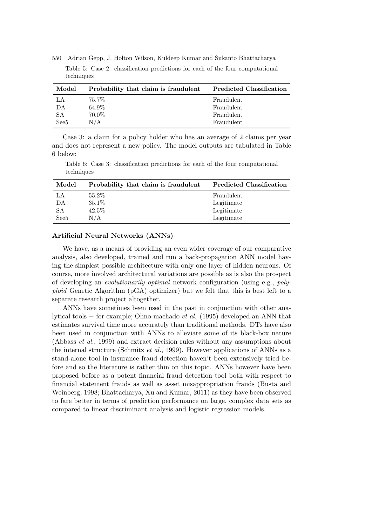550 Adrian Gepp, J. Holton Wilson, Kuldeep Kumar and Sukanto Bhattacharya

| Model            | Probability that claim is fraudulent | <b>Predicted Classification</b> |
|------------------|--------------------------------------|---------------------------------|
| LA               | 75.7%                                | Fraudulent                      |
| DA               | 64.9%                                | Fraudulent                      |
| SА               | 70.0%                                | Fraudulent                      |
| See <sub>5</sub> | N/A                                  | Fraudulent                      |

Table 5: Case 2: classification predictions for each of the four computational techniques

Case 3: a claim for a policy holder who has an average of 2 claims per year and does not represent a new policy. The model outputs are tabulated in Table 6 below:

Table 6: Case 3: classification predictions for each of the four computational techniques

| Model            | Probability that claim is fraudulent | <b>Predicted Classification</b> |
|------------------|--------------------------------------|---------------------------------|
| LA               | 55.2%                                | Fraudulent                      |
| DА               | 35.1%                                | Legitimate                      |
| SА               | 42.5%                                | Legitimate                      |
| See <sub>5</sub> | N/A                                  | Legitimate                      |

#### Artificial Neural Networks (ANNs)

We have, as a means of providing an even wider coverage of our comparative analysis, also developed, trained and run a back-propagation ANN model having the simplest possible architecture with only one layer of hidden neurons. Of course, more involved architectural variations are possible as is also the prospect of developing an evolutionarily optimal network configuration (using e.g., polyploid Genetic Algorithm (pGA) optimizer) but we felt that this is best left to a separate research project altogether.

ANNs have sometimes been used in the past in conjunction with other analytical tools − for example; Ohno-machado et al. (1995) developed an ANN that estimates survival time more accurately than traditional methods. DTs have also been used in conjunction with ANNs to alleviate some of its black-box nature (Abbass et al., 1999) and extract decision rules without any assumptions about the internal structure (Schmitz *et al.*, 1999). However applications of ANNs as a stand-alone tool in insurance fraud detection haven't been extensively tried before and so the literature is rather thin on this topic. ANNs however have been proposed before as a potent financial fraud detection tool both with respect to financial statement frauds as well as asset misappropriation frauds (Busta and Weinberg, 1998; Bhattacharya, Xu and Kumar, 2011) as they have been observed to fare better in terms of prediction performance on large, complex data sets as compared to linear discriminant analysis and logistic regression models.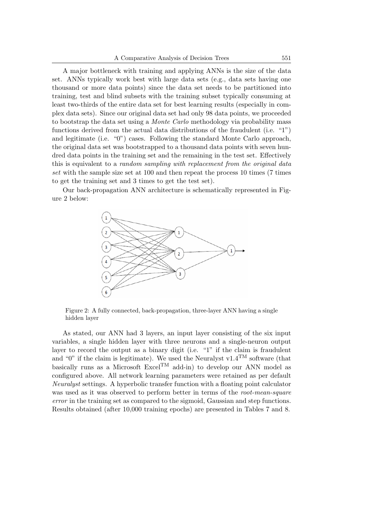A major bottleneck with training and applying ANNs is the size of the data set. ANNs typically work best with large data sets (e.g., data sets having one thousand or more data points) since the data set needs to be partitioned into training, test and blind subsets with the training subset typically consuming at least two-thirds of the entire data set for best learning results (especially in complex data sets). Since our original data set had only 98 data points, we proceeded to bootstrap the data set using a Monte Carlo methodology via probability mass functions derived from the actual data distributions of the fraudulent (i.e. "1") and legitimate (i.e. "0") cases. Following the standard Monte Carlo approach, the original data set was bootstrapped to a thousand data points with seven hundred data points in the training set and the remaining in the test set. Effectively this is equivalent to a *random sampling with replacement from the original data* set with the sample size set at 100 and then repeat the process 10 times (7 times to get the training set and 3 times to get the test set).

Our back-propagation ANN architecture is schematically represented in Figure 2 below:



Figure 2: A fully connected, back-propagation, three-layer ANN having a single hidden layer

As stated, our ANN had 3 layers, an input layer consisting of the six input variables, a single hidden layer with three neurons and a single-neuron output layer to record the output as a binary digit (i.e. "1" if the claim is fraudulent and "0" if the claim is legitimate). We used the Neuralyst v1.4<sup>TM</sup> software (that basically runs as a Microsoft Excel<sup>TM</sup> add-in) to develop our ANN model as configured above. All network learning parameters were retained as per default Neuralyst settings. A hyperbolic transfer function with a floating point calculator was used as it was observed to perform better in terms of the root-mean-square error in the training set as compared to the sigmoid, Gaussian and step functions. Results obtained (after 10,000 training epochs) are presented in Tables 7 and 8.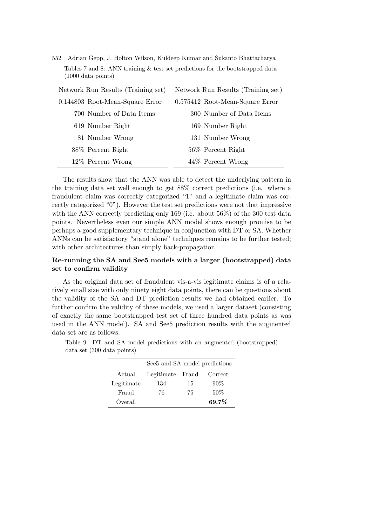| TOOO GOOG POILLED                  |                                    |
|------------------------------------|------------------------------------|
| Network Run Results (Training set) | Network Run Results (Training set) |
| 0.144803 Root-Mean-Square Error    | 0.575412 Root-Mean-Square Error    |
| 700 Number of Data Items           | 300 Number of Data Items           |
| 619 Number Right                   | 169 Number Right                   |
| 81 Number Wrong                    | 131 Number Wrong                   |
| 88\% Percent Right                 | 56\% Percent Right                 |
| 12\% Percent Wrong                 | 44\% Percent Wrong                 |

552 Adrian Gepp, J. Holton Wilson, Kuldeep Kumar and Sukanto Bhattacharya

 $(1000 \text{ data noise})$ 

Tables 7 and 8: ANN training & test set predictions for the bootstrapped data

The results show that the ANN was able to detect the underlying pattern in the training data set well enough to get 88% correct predictions (i.e. where a fraudulent claim was correctly categorized "1" and a legitimate claim was correctly categorized "0"). However the test set predictions were not that impressive with the ANN correctly predicting only 169 (i.e. about 56%) of the 300 test data points. Nevertheless even our simple ANN model shows enough promise to be perhaps a good supplementary technique in conjunction with DT or SA. Whether ANNs can be satisfactory "stand alone" techniques remains to be further tested; with other architectures than simply back-propagation.

# Re-running the SA and See5 models with a larger (bootstrapped) data set to confirm validity

As the original data set of fraudulent vis-a-vis legitimate claims is of a relatively small size with only ninety eight data points, there can be questions about the validity of the SA and DT prediction results we had obtained earlier. To further confirm the validity of these models, we used a larger dataset (consisting of exactly the same bootstrapped test set of three hundred data points as was used in the ANN model). SA and See5 prediction results with the augmented data set are as follows:

|            | See 5 and SA model predictions |       |         |  |  |  |  |
|------------|--------------------------------|-------|---------|--|--|--|--|
| Actual     | Legitimate                     | Fraud | Correct |  |  |  |  |
| Legitimate | 134                            | 15    | $90\%$  |  |  |  |  |
| Fraud      | 76                             | 75    | $50\%$  |  |  |  |  |
| Overall    |                                |       | 69.7%   |  |  |  |  |

Table 9: DT and SA model predictions with an augmented (bootstrapped) data set (300 data points)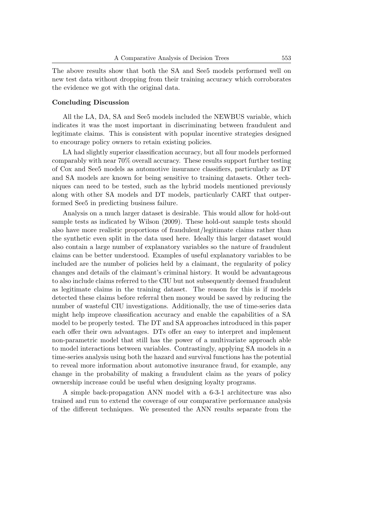The above results show that both the SA and See5 models performed well on new test data without dropping from their training accuracy which corroborates the evidence we got with the original data.

### Concluding Discussion

All the LA, DA, SA and See5 models included the NEWBUS variable, which indicates it was the most important in discriminating between fraudulent and legitimate claims. This is consistent with popular incentive strategies designed to encourage policy owners to retain existing policies.

LA had slightly superior classification accuracy, but all four models performed comparably with near 70% overall accuracy. These results support further testing of Cox and See5 models as automotive insurance classifiers, particularly as DT and SA models are known for being sensitive to training datasets. Other techniques can need to be tested, such as the hybrid models mentioned previously along with other SA models and DT models, particularly CART that outperformed See5 in predicting business failure.

Analysis on a much larger dataset is desirable. This would allow for hold-out sample tests as indicated by Wilson (2009). These hold-out sample tests should also have more realistic proportions of fraudulent/legitimate claims rather than the synthetic even split in the data used here. Ideally this larger dataset would also contain a large number of explanatory variables so the nature of fraudulent claims can be better understood. Examples of useful explanatory variables to be included are the number of policies held by a claimant, the regularity of policy changes and details of the claimant's criminal history. It would be advantageous to also include claims referred to the CIU but not subsequently deemed fraudulent as legitimate claims in the training dataset. The reason for this is if models detected these claims before referral then money would be saved by reducing the number of wasteful CIU investigations. Additionally, the use of time-series data might help improve classification accuracy and enable the capabilities of a SA model to be properly tested. The DT and SA approaches introduced in this paper each offer their own advantages. DTs offer an easy to interpret and implement non-parametric model that still has the power of a multivariate approach able to model interactions between variables. Contrastingly, applying SA models in a time-series analysis using both the hazard and survival functions has the potential to reveal more information about automotive insurance fraud, for example, any change in the probability of making a fraudulent claim as the years of policy ownership increase could be useful when designing loyalty programs.

A simple back-propagation ANN model with a 6-3-1 architecture was also trained and run to extend the coverage of our comparative performance analysis of the different techniques. We presented the ANN results separate from the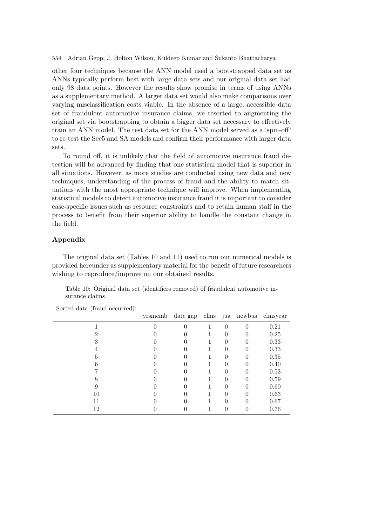other four techniques because the ANN model used a bootstrapped data set as ANNs typically perform best with large data sets and our original data set had only 98 data points. However the results show promise in terms of using ANNs as a supplementary method. A larger data set would also make comparisons over varying misclassification costs viable. In the absence of a large, accessible data set of fraudulent automotive insurance claims, we resorted to augmenting the original set via bootstrapping to obtain a bigger data set necessary to effectively train an ANN model. The test data set for the ANN model served as a 'spin-off' to re-test the See5 and SA models and confirm their performance with larger data sets.

To round off, it is unlikely that the field of automotive insurance fraud detection will be advanced by finding that one statistical model that is superior in all situations. However, as more studies are conducted using new data and new techniques, understanding of the process of fraud and the ability to match situations with the most appropriate technique will improve. When implementing statistical models to detect automotive insurance fraud it is important to consider case-specific issues such as resource constraints and to retain human staff in the process to benefit from their superior ability to handle the constant change in the field.

### Appendix

The original data set (Tables 10 and 11) used to run our numerical models is provided hereunder as supplementary material for the benefit of future researchers wishing to reproduce/improve on our obtained results.

| Sorted data (fraud occurred): |          |          |      |          |          |          |
|-------------------------------|----------|----------|------|----------|----------|----------|
|                               | yrsmemb  | date gap | clms | jua      | newbus   | clmsyear |
|                               | $\Omega$ | 0        | 1    | $\theta$ | $\theta$ | 0.21     |
|                               |          |          |      | $\Omega$ |          | 0.25     |
| 3                             |          |          |      | $\theta$ | 0        | 0.33     |
|                               |          |          |      | $\Omega$ |          | 0.33     |
| 5                             |          |          |      | $\theta$ | 0        | 0.35     |
|                               |          |          |      |          |          | 0.40     |
|                               |          | 0        |      | $\Omega$ | 0        | 0.53     |
| 8                             |          |          |      |          |          | 0.59     |
| 9                             |          |          |      |          | 0        | 0.60     |
| 10                            |          |          |      |          |          | 0.63     |
| 11                            |          |          |      |          | 0        | 0.67     |
| 12                            |          |          |      |          |          | 0.76     |

Table 10: Original data set (identifiers removed) of fraudulent automotive insurance claims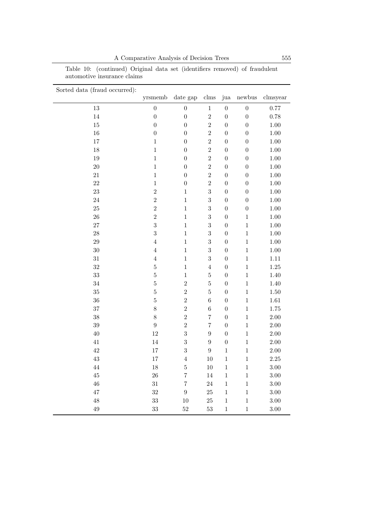A Comparative Analysis of Decision Trees 555

|                             |  |  | Table 10: (continued) Original data set (identifiers removed) of fraudulent |
|-----------------------------|--|--|-----------------------------------------------------------------------------|
| automotive insurance claims |  |  |                                                                             |

| Sorted data (fraud occurred): |                         |                   |                  |                  |                  |          |
|-------------------------------|-------------------------|-------------------|------------------|------------------|------------------|----------|
|                               | yrsmemb                 | ${\rm date\ gap}$ | clms             | jua              | newbus           | clmsyear |
| 13                            | $\boldsymbol{0}$        | $\boldsymbol{0}$  | $\mathbf{1}$     | $\boldsymbol{0}$ | $\boldsymbol{0}$ | 0.77     |
| $14\,$                        | $\boldsymbol{0}$        | $\boldsymbol{0}$  | $\overline{2}$   | $\overline{0}$   | $\overline{0}$   | $0.78\,$ |
| $15\,$                        | $\overline{0}$          | $\boldsymbol{0}$  | $\overline{2}$   | $\overline{0}$   | $\boldsymbol{0}$ | $1.00\,$ |
| $16\,$                        | $\boldsymbol{0}$        | $\boldsymbol{0}$  | $\overline{2}$   | $\boldsymbol{0}$ | $\boldsymbol{0}$ | $1.00\,$ |
| 17                            | $\,1\,$                 | $\boldsymbol{0}$  | $\overline{2}$   | $\boldsymbol{0}$ | $\boldsymbol{0}$ | $1.00\,$ |
| $18\,$                        | $\mathbf 1$             | $\boldsymbol{0}$  | $\overline{2}$   | $\overline{0}$   | $\overline{0}$   | $1.00\,$ |
| $19\,$                        | $\mathbf 1$             | $\boldsymbol{0}$  | $\overline{2}$   | $\overline{0}$   | $\boldsymbol{0}$ | $1.00\,$ |
| $20\,$                        | $\mathbf 1$             | $\boldsymbol{0}$  | $\overline{2}$   | $\overline{0}$   | $\boldsymbol{0}$ | $1.00\,$ |
| 21                            | $\mathbf{1}$            | $\boldsymbol{0}$  | $\overline{2}$   | $\overline{0}$   | $\boldsymbol{0}$ | $1.00\,$ |
| 22                            | $\mathbf{1}$            | $\boldsymbol{0}$  | $\overline{2}$   | $\overline{0}$   | $\boldsymbol{0}$ | $1.00\,$ |
| $23\,$                        | $\overline{2}$          | $\mathbf{1}$      | 3                | $\boldsymbol{0}$ | $\boldsymbol{0}$ | $1.00\,$ |
| 24                            | $\overline{2}$          | $\mathbf{1}$      | $\overline{3}$   | $\boldsymbol{0}$ | $\boldsymbol{0}$ | $1.00\,$ |
| $25\,$                        | $\overline{2}$          | $\mathbf{1}$      | 3                | $\boldsymbol{0}$ | $\boldsymbol{0}$ | $1.00\,$ |
| 26                            | $\overline{2}$          | $\mathbf{1}$      | 3                | $\boldsymbol{0}$ | $\,1$            | $1.00\,$ |
| 27                            | $\overline{3}$          | $\mathbf{1}$      | 3                | $\overline{0}$   | $\mathbf{1}$     | $1.00\,$ |
| 28                            | $\overline{\mathbf{3}}$ | $\mathbf{1}$      | 3                | $\overline{0}$   | $\,1$            | $1.00\,$ |
| 29                            | $\,4\,$                 | $\mathbf{1}$      | 3                | $\overline{0}$   | $\mathbf{1}$     | $1.00\,$ |
| $30\,$                        | $\,4\,$                 | $\,1$             | 3                | $\boldsymbol{0}$ | $\mathbf{1}$     | $1.00\,$ |
| 31                            | $\,4\,$                 | $\mathbf{1}$      | 3                | $\boldsymbol{0}$ | $\mathbf{1}$     | $1.11\,$ |
| $32\,$                        | $\overline{5}$          | $\mathbf{1}$      | $\overline{4}$   | $\overline{0}$   | $\mathbf{1}$     | $1.25\,$ |
| 33                            | $\overline{5}$          | $\mathbf{1}$      | $\overline{5}$   | $\overline{0}$   | $\,1$            | 1.40     |
| $34\,$                        | $\overline{5}$          | $\overline{2}$    | $\overline{5}$   | $\overline{0}$   | $\mathbf{1}$     | 1.40     |
| 35                            | $\overline{5}$          | $\overline{2}$    | $\overline{5}$   | $\overline{0}$   | $\mathbf{1}$     | $1.50\,$ |
| $36\,$                        | $\overline{5}$          | $\overline{2}$    | $\boldsymbol{6}$ | $\boldsymbol{0}$ | $\,1$            | $1.61\,$ |
| 37                            | 8                       | $\overline{2}$    | $\overline{6}$   | $\overline{0}$   | $\mathbf{1}$     | 1.75     |
| $38\,$                        | $\,8\,$                 | $\overline{2}$    | $\overline{7}$   | $\boldsymbol{0}$ | $\mathbf{1}$     | $2.00\,$ |
| $39\,$                        | $\boldsymbol{9}$        | $\overline{2}$    | $\overline{7}$   | $\overline{0}$   | $\mathbf{1}$     | $2.00\,$ |
| $40\,$                        | $12\,$                  | 3                 | $\overline{9}$   | $\overline{0}$   | $\,1$            | $2.00\,$ |
| 41                            | $14\,$                  | 3                 | $\overline{9}$   | $\overline{0}$   | $\,1$            | $2.00\,$ |
| $42\,$                        | $17\,$                  | 3                 | $\overline{9}$   | $\,1$            | $\,1$            | $2.00\,$ |
| $43\,$                        | 17                      | $\overline{4}$    | 10               | $\,1\,$          | $\,1$            | $2.25\,$ |
| $44\,$                        | $18\,$                  | $\bf 5$           | $10\,$           | $\,1\,$          | $\,1$            | $3.00\,$ |
| $45\,$                        | $26\,$                  | $\overline{7}$    | $14\,$           | $\,1$            | $\,1$            | $3.00\,$ |
| $46\,$                        | $31\,$                  | $\overline{7}$    | $24\,$           | $\mathbf{1}$     | $\,1$            | $3.00\,$ |
| 47                            | $32\,$                  | $\boldsymbol{9}$  | 25               | $\mathbf{1}$     | $\,1$            | $3.00\,$ |
| 48                            | $33\,$                  | 10                | $25\,$           | $\mathbf{1}$     | $\mathbf{1}$     | $3.00\,$ |
| $\rm 49$                      | 33                      | 52                | 53               | $\mathbf{1}$     | $\,1$            | 3.00     |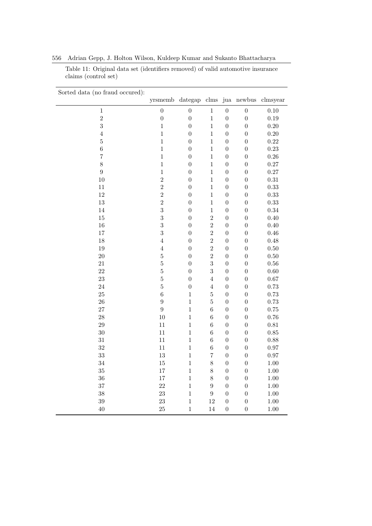| Sorted data (no fraud occured): |                      |                  |                  |                  |                  |                     |
|---------------------------------|----------------------|------------------|------------------|------------------|------------------|---------------------|
|                                 | yrsmemb dategap clms |                  |                  |                  |                  | jua newbus clmsyear |
| $\,1$                           | $\boldsymbol{0}$     | $\boldsymbol{0}$ | $\,1$            | $\boldsymbol{0}$ | $\boldsymbol{0}$ | 0.10                |
| $\overline{2}$                  | $\boldsymbol{0}$     | $\boldsymbol{0}$ | $\,1$            | $\boldsymbol{0}$ | $\boldsymbol{0}$ | 0.19                |
| 3                               | $\mathbf{1}$         | $\overline{0}$   | $\mathbf{1}$     | $\boldsymbol{0}$ | $\boldsymbol{0}$ | 0.20                |
| $\overline{4}$                  | $\mathbf{1}$         | $\boldsymbol{0}$ | $\mathbf{1}$     | $\boldsymbol{0}$ | $\boldsymbol{0}$ | 0.20                |
| $\overline{5}$                  | $\mathbf{1}$         | $\boldsymbol{0}$ | $\mathbf{1}$     | $\boldsymbol{0}$ | $\boldsymbol{0}$ | $0.22\,$            |
| $\overline{6}$                  | $\mathbf{1}$         | $\boldsymbol{0}$ | $\mathbf{1}$     | $\boldsymbol{0}$ | $\boldsymbol{0}$ | 0.23                |
| $\overline{7}$                  | $\mathbf{1}$         | $\boldsymbol{0}$ | $\mathbf{1}$     | $\boldsymbol{0}$ | $\boldsymbol{0}$ | $0.26\,$            |
| 8                               | $\,1$                | $\boldsymbol{0}$ | $\mathbf{1}$     | $\boldsymbol{0}$ | $\boldsymbol{0}$ | 0.27                |
| $\overline{9}$                  | $\mathbf{1}$         | $\boldsymbol{0}$ | $\mathbf{1}$     | $\boldsymbol{0}$ | $\boldsymbol{0}$ | 0.27                |
| 10                              | $\overline{2}$       | $\boldsymbol{0}$ | $\mathbf 1$      | $\boldsymbol{0}$ | $\boldsymbol{0}$ | 0.31                |
| 11                              | $\overline{2}$       | $\boldsymbol{0}$ | $\mathbf{1}$     | $\boldsymbol{0}$ | $\boldsymbol{0}$ | 0.33                |
| 12                              | $\overline{2}$       | $\boldsymbol{0}$ | $\,1$            | $\boldsymbol{0}$ | $\boldsymbol{0}$ | 0.33                |
| 13                              | $\overline{2}$       | $\boldsymbol{0}$ | $\mathbf{1}$     | $\boldsymbol{0}$ | $\boldsymbol{0}$ | 0.33                |
| 14                              | 3                    | $\boldsymbol{0}$ | $\mathbf 1$      | $\boldsymbol{0}$ | $\boldsymbol{0}$ | 0.34                |
| 15                              | 3                    | $\boldsymbol{0}$ | $\overline{2}$   | $\boldsymbol{0}$ | $\boldsymbol{0}$ | 0.40                |
| 16                              | 3                    | $\overline{0}$   | $\overline{2}$   | $\boldsymbol{0}$ | $\boldsymbol{0}$ | 0.40                |
| 17                              | 3                    | $\boldsymbol{0}$ | $\overline{2}$   | $\boldsymbol{0}$ | $\boldsymbol{0}$ | 0.46                |
| 18                              | $\overline{4}$       | $\boldsymbol{0}$ | $\overline{2}$   | $\overline{0}$   | $\boldsymbol{0}$ | 0.48                |
| 19                              | $\overline{4}$       | $\boldsymbol{0}$ | $\overline{2}$   | $\boldsymbol{0}$ | $\boldsymbol{0}$ | $0.50\,$            |
| $20\,$                          | $\overline{5}$       | $\overline{0}$   | $\overline{2}$   | $\boldsymbol{0}$ | $\boldsymbol{0}$ | $0.50\,$            |
| 21                              | $\overline{5}$       | $\boldsymbol{0}$ | $\boldsymbol{3}$ | $\boldsymbol{0}$ | $\boldsymbol{0}$ | $0.56\,$            |
| 22                              | $\overline{5}$       | $\boldsymbol{0}$ | $\overline{3}$   | $\overline{0}$   | $\boldsymbol{0}$ | $0.60\,$            |
| 23                              | $\overline{5}$       | $\boldsymbol{0}$ | $\,4\,$          | $\boldsymbol{0}$ | $\boldsymbol{0}$ | $0.67\,$            |
| 24                              | $\overline{5}$       | $\boldsymbol{0}$ | $\overline{4}$   | $\boldsymbol{0}$ | $\boldsymbol{0}$ | 0.73                |
| 25                              | $\,$ 6 $\,$          | $\mathbf{1}$     | $\bf 5$          | $\boldsymbol{0}$ | $\boldsymbol{0}$ | 0.73                |
| 26                              | $\overline{9}$       | $\mathbf 1$      | $\overline{5}$   | $\boldsymbol{0}$ | $\boldsymbol{0}$ | 0.73                |
| 27                              | $\overline{9}$       | $\overline{1}$   | $\,6$            | $\boldsymbol{0}$ | $\boldsymbol{0}$ | 0.75                |
| 28                              | 10                   | $\mathbf 1$      | $\,$ 6 $\,$      | $\boldsymbol{0}$ | $\boldsymbol{0}$ | 0.76                |
| 29                              | 11                   | $\mathbf 1$      | $\,6$            | $\boldsymbol{0}$ | $\boldsymbol{0}$ | $\rm 0.81$          |
| 30                              | 11                   | $\mathbf{1}$     | $\,$ 6 $\,$      | $\boldsymbol{0}$ | $\boldsymbol{0}$ | $0.85\,$            |
| 31                              | 11                   | $\mathbf 1$      | $\,6$            | $\boldsymbol{0}$ | $\boldsymbol{0}$ | 0.88                |
| 32                              | 11                   | $\mathbf{1}$     | $\,$ 6 $\,$      | $\boldsymbol{0}$ | $\boldsymbol{0}$ | 0.97                |
| 33                              | 13                   | $\mathbf 1$      | $\overline{7}$   | $\overline{0}$   | $\boldsymbol{0}$ | 0.97                |
| 34                              | 15                   | $\mathbf 1$      | 8                | $\boldsymbol{0}$ | $\boldsymbol{0}$ | 1.00                |
| 35                              | 17                   | $\mathbf 1$      | 8                | $\boldsymbol{0}$ | $\boldsymbol{0}$ | 1.00                |
| 36                              | 17                   | $\mathbf 1$      | 8                | $\boldsymbol{0}$ | $\boldsymbol{0}$ | 1.00                |
| 37                              | 22                   | $\mathbf 1$      | $\boldsymbol{9}$ | $\boldsymbol{0}$ | $\boldsymbol{0}$ | $1.00\,$            |
| 38                              | $23\,$               | $\mathbf 1$      | $\boldsymbol{9}$ | $\boldsymbol{0}$ | $\boldsymbol{0}$ | 1.00                |
| 39                              | 23                   | $\mathbf 1$      | $12\,$           | $\boldsymbol{0}$ | $\boldsymbol{0}$ | $1.00\,$            |
| 40                              | 25                   | $\mathbf{1}$     | 14               | $\boldsymbol{0}$ | $\boldsymbol{0}$ | 1.00                |

556 Adrian Gepp, J. Holton Wilson, Kuldeep Kumar and Sukanto Bhattacharya

claims (control set)

Table 11: Original data set (identifiers removed) of valid automotive insurance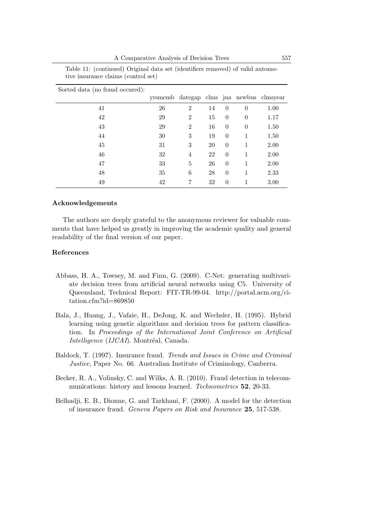A Comparative Analysis of Decision Trees 557

| Sorted data (no fraud occured): |                                          |                |    |          |          |      |
|---------------------------------|------------------------------------------|----------------|----|----------|----------|------|
|                                 | yrsmemb dategap clms jua newbus clmsyear |                |    |          |          |      |
| 41                              | 26                                       | $\overline{2}$ | 14 | $\theta$ | $\theta$ | 1.00 |
| 42                              | 29                                       | $\overline{2}$ | 15 | $\theta$ | $\theta$ | 1.17 |
| 43                              | 29                                       | $\overline{2}$ | 16 | $\theta$ | $\theta$ | 1.50 |
| 44                              | 30                                       | 3              | 19 | $\theta$ | 1        | 1.50 |
| 45                              | 31                                       | 3              | 20 | $\theta$ | 1        | 2.00 |
| 46                              | 32                                       | 4              | 22 | $\theta$ | 1        | 2.00 |
| 47                              | 33                                       | 5              | 26 | $\theta$ | 1        | 2.00 |
| 48                              | 35                                       | 6              | 28 | $\theta$ | 1        | 2.33 |
| 49                              | 42                                       | 7              | 32 | $\theta$ | 1        | 3.00 |

Table 11: (continued) Original data set (identifiers removed) of valid automotive insurance claims (control set)

#### Acknowledgements

The authors are deeply grateful to the anonymous reviewer for valuable comments that have helped us greatly in improving the academic quality and general readability of the final version of our paper.

## References

- Abbass, H. A., Towsey, M. and Finn, G. (2009). C-Net: generating multivariate decision trees from artificial neural networks using C5. University of Queensland, Technical Report: FIT-TR-99-04. http://portal.acm.org/citation.cfm?id=869850
- Bala, J., Huang, J., Vafaie, H., DeJong, K. and Wechsler, H. (1995). Hybrid learning using genetic algorithms and decision trees for pattern classification. In Proceedings of the International Joint Conference on Artificial Intelligence (IJCAI). Montréal, Canada.
- Baldock, T. (1997). Insurance fraud. Trends and Issues in Crime and Criminal Justice, Paper No. 66. Australian Institute of Criminology, Canberra.
- Becker, R. A., Volinsky, C. and Wilks, A. R. (2010). Fraud detection in telecommunications: history and lessons learned. Technometrics 52, 20-33.
- Belhadji, E. B., Dionne, G. and Tarkhani, F. (2000). A model for the detection of insurance fraud. Geneva Papers on Risk and Insurance 25, 517-538.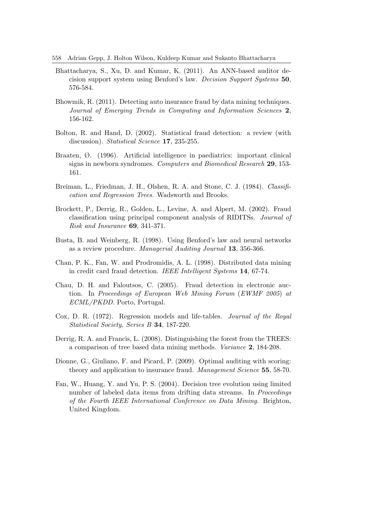558 Adrian Gepp, J. Holton Wilson, Kuldeep Kumar and Sukanto Bhattacharya

- Bhattacharya, S., Xu, D. and Kumar, K. (2011). An ANN-based auditor decision support system using Benford's law. Decision Support Systems 50, 576-584.
- Bhowmik, R. (2011). Detecting auto insurance fraud by data mining techniques. Journal of Emerging Trends in Computing and Information Sciences 2, 156-162.
- Bolton, R. and Hand, D. (2002). Statistical fraud detection: a review (with discussion). *Statistical Science* **17**, 235-255.
- Braaten, Ø. (1996). Artificial intelligence in paediatrics: important clinical signs in newborn syndromes. Computers and Biomedical Research 29, 153- 161.
- Breiman, L., Friedman, J. H., Olshen, R. A. and Stone, C. J. (1984). Classification and Regression Trees. Wadsworth and Brooks.
- Brockett, P., Derrig, R., Golden, L., Levine, A. and Alpert, M. (2002). Fraud classification using principal component analysis of RIDITSs. Journal of Risk and Insurance 69, 341-371.
- Busta, B. and Weinberg, R. (1998). Using Benford's law and neural networks as a review procedure. Managerial Auditing Journal 13, 356-366.
- Chan, P. K., Fan, W. and Prodromidis, A. L. (1998). Distributed data mining in credit card fraud detection. IEEE Intelligent Systems 14, 67-74.
- Chau, D. H. and Faloutsos, C. (2005). Fraud detection in electronic auction. In Proceedings of European Web Mining Forum (EWMF 2005) at ECML/PKDD. Porto, Portugal.
- Cox, D. R. (1972). Regression models and life-tables. Journal of the Royal Statistical Society, Series B 34, 187-220.
- Derrig, R. A. and Francis, L. (2008). Distinguishing the forest from the TREES: a comparison of tree based data mining methods. Variance 2, 184-208.
- Dionne, G., Giuliano, F. and Picard, P. (2009). Optimal auditing with scoring: theory and application to insurance fraud. Management Science 55, 58-70.
- Fan, W., Huang, Y. and Yu, P. S. (2004). Decision tree evolution using limited number of labeled data items from drifting data streams. In Proceedings of the Fourth IEEE International Conference on Data Mining. Brighton, United Kingdom.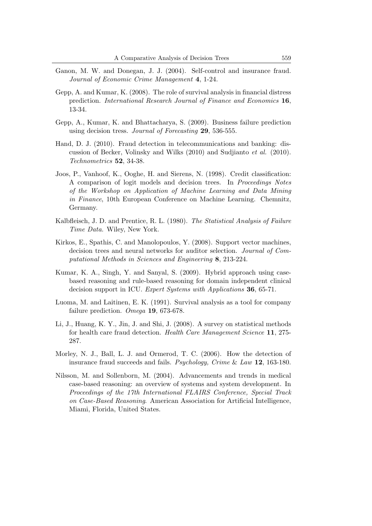- Ganon, M. W. and Donegan, J. J. (2004). Self-control and insurance fraud. Journal of Economic Crime Management 4, 1-24.
- Gepp, A. and Kumar, K. (2008). The role of survival analysis in financial distress prediction. International Research Journal of Finance and Economics 16, 13-34.
- Gepp, A., Kumar, K. and Bhattacharya, S. (2009). Business failure prediction using decision tress. Journal of Forecasting 29, 536-555.
- Hand, D. J. (2010). Fraud detection in telecommunications and banking: discussion of Becker, Volinsky and Wilks (2010) and Sudjianto et al. (2010). Technometrics 52, 34-38.
- Joos, P., Vanhoof, K., Ooghe, H. and Sierens, N. (1998). Credit classification: A comparison of logit models and decision trees. In Proceedings Notes of the Workshop on Application of Machine Learning and Data Mining in Finance, 10th European Conference on Machine Learning. Chemnitz, Germany.
- Kalbfleisch, J. D. and Prentice, R. L. (1980). The Statistical Analysis of Failure Time Data. Wiley, New York.
- Kirkos, E., Spathis, C. and Manolopoulos, Y. (2008). Support vector machines, decision trees and neural networks for auditor selection. Journal of Computational Methods in Sciences and Engineering 8, 213-224.
- Kumar, K. A., Singh, Y. and Sanyal, S. (2009). Hybrid approach using casebased reasoning and rule-based reasoning for domain independent clinical decision support in ICU. Expert Systems with Applications 36, 65-71.
- Luoma, M. and Laitinen, E. K. (1991). Survival analysis as a tool for company failure prediction. Omega 19, 673-678.
- Li, J., Huang, K. Y., Jin, J. and Shi, J. (2008). A survey on statistical methods for health care fraud detection. Health Care Management Science 11, 275- 287.
- Morley, N. J., Ball, L. J. and Ormerod, T. C. (2006). How the detection of insurance fraud succeeds and fails. Psychology, Crime & Law 12, 163-180.
- Nilsson, M. and Sollenborn, M. (2004). Advancements and trends in medical case-based reasoning: an overview of systems and system development. In Proceedings of the 17th International FLAIRS Conference, Special Track on Case-Based Reasoning. American Association for Artificial Intelligence, Miami, Florida, United States.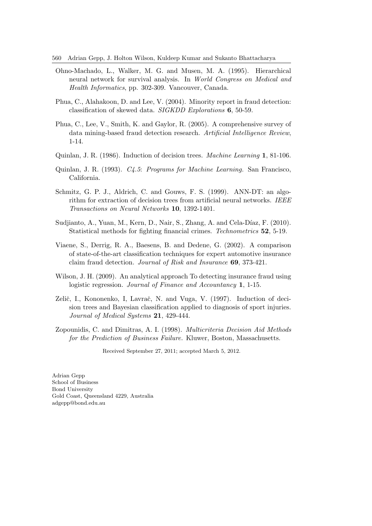560 Adrian Gepp, J. Holton Wilson, Kuldeep Kumar and Sukanto Bhattacharya

- Ohno-Machado, L., Walker, M. G. and Musen, M. A. (1995). Hierarchical neural network for survival analysis. In World Congress on Medical and Health Informatics, pp. 302-309. Vancouver, Canada.
- Phua, C., Alahakoon, D. and Lee, V. (2004). Minority report in fraud detection: classification of skewed data. SIGKDD Explorations 6, 50-59.
- Phua, C., Lee, V., Smith, K. and Gaylor, R. (2005). A comprehensive survey of data mining-based fraud detection research. Artificial Intelligence Review, 1-14.
- Quinlan, J. R. (1986). Induction of decision trees. Machine Learning 1, 81-106.
- Quinlan, J. R. (1993). C4.5: Programs for Machine Learning. San Francisco, California.
- Schmitz, G. P. J., Aldrich, C. and Gouws, F. S. (1999). ANN-DT: an algorithm for extraction of decision trees from artificial neural networks. IEEE Transactions on Neural Networks 10, 1392-1401.
- Sudijanto, A., Yuan, M., Kern, D., Nair, S., Zhang, A. and Cela-Díaz, F.  $(2010)$ . Statistical methods for fighting financial crimes. Technometrics 52, 5-19.
- Viaene, S., Derrig, R. A., Baesens, B. and Dedene, G. (2002). A comparison of state-of-the-art classification techniques for expert automotive insurance claim fraud detection. Journal of Risk and Insurance 69, 373-421.
- Wilson, J. H. (2009). An analytical approach To detecting insurance fraud using logistic regression. Journal of Finance and Accountancy 1, 1-15.
- Zelič, I., Kononenko, I., Lavrač, N. and Vuga, V. (1997). Induction of decision trees and Bayesian classification applied to diagnosis of sport injuries. Journal of Medical Systems 21, 429-444.
- Zopounidis, C. and Dimitras, A. I. (1998). Multicriteria Decision Aid Methods for the Prediction of Business Failure. Kluwer, Boston, Massachusetts.

Received September 27, 2011; accepted March 5, 2012.

Adrian Gepp School of Business Bond University Gold Coast, Queensland 4229, Australia adgepp@bond.edu.au